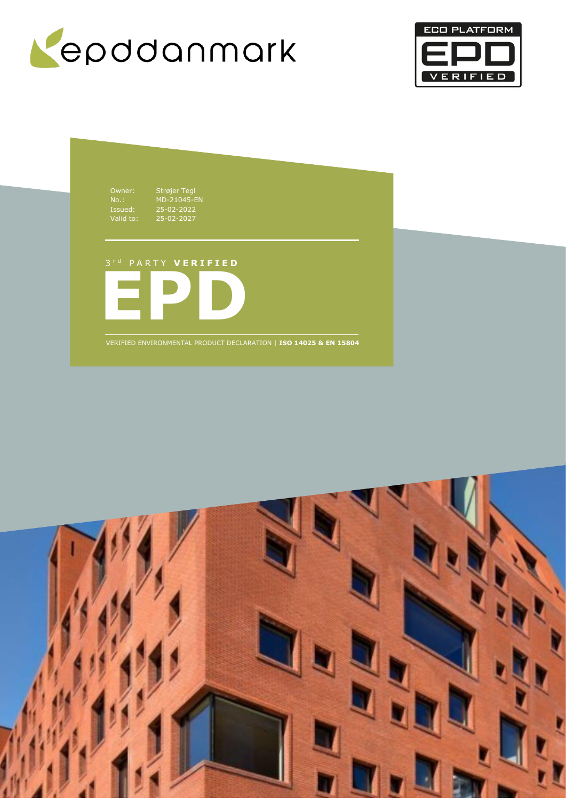



Owner: Strøjer Tegl Issued: 25-02-2022 Valid to: 25-02-2027

No.: MD-21045-EN

3 r d P A R T Y **V E R I F I E D**



VERIFIED ENVIRONMENTAL PRODUCT DECLARATION | **ISO 14025 & EN 15804**

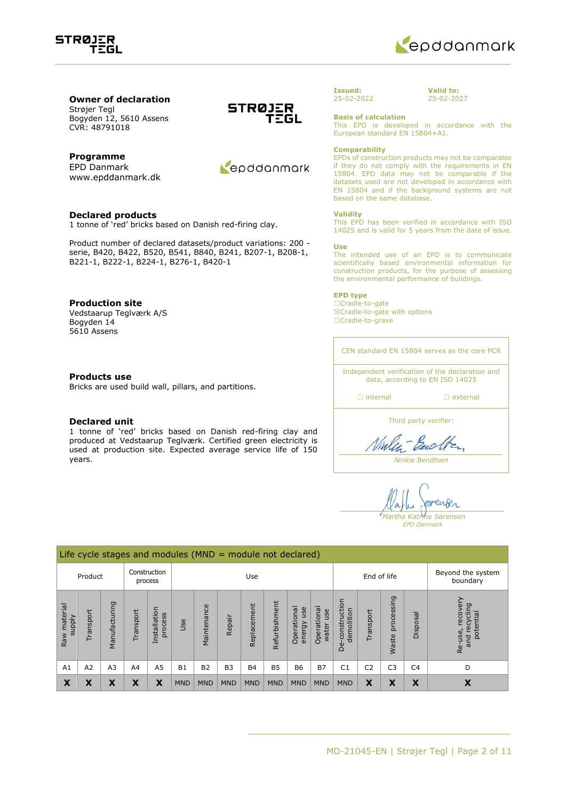



**Owner of declaration** Strøjer Tegl Bogyden 12, 5610 Assens CVR: 48791018

### **Programme**

EPD Danmark www.epddanmark.dk

### **Declared products**

1 tonne of 'red' bricks based on Danish red-firing clay.

Product number of declared datasets/product variations: 200 serie, B420, B422, B520, B541, B840, B241, B207-1, B208-1, B221-1, B222-1, B224-1, B276-1, B420-1

### **Production site**

Vedstaarup Teglværk A/S Bogyden 14 5610 Assens

### **Products use**

Bricks are used build wall, pillars, and partitions.

### **Declared unit**

1 tonne of 'red' bricks based on Danish red-firing clay and produced at Vedstaarup Teglværk. Certified green electricity is used at production site. Expected average service life of 150 years.





#### **Issued:** 25-02-2022

**Valid to:** 25-02-2027

**Basis of calculation**

This EPD is developed in accordance with the European standard EN 15804+A1.

### **Comparability**

EPDs of construction products may not be comparable if they do not comply with the requirements in EN 15804. EPD data may not be comparable if the datasets used are not developed in accordance with EN 15804 and if the background systems are not based on the same database.

### **Validity**

This EPD has been verified in accordance with ISO 14025 and is valid for 5 years from the date of issue.

#### **Use**

The intended use of an EPD is to communicate scientifically based environmental information for construction products, for the purpose of assessing the environmental performance of buildings.

### **EPD type**

☐Cradle-to-gate ☒Cradle-to-gate with options ☐Cradle-to-grave

CEN standard EN 15804 serves as the core PCR

Independent verification of the declaration and data, according to EN ISO 14025

☐ internal ☐ external

Third party verifier:

Ninlen-Backten

*Ninkie Bendtsen*

renser *Martha Katrine Sørensen EPD Danmark*

|                        | Life cycle stages and modules ( $MND =$ module not declared) |                |                |                                |            |                |                |             |               |                              |                               |                                 |                |                     |                |                                                      |
|------------------------|--------------------------------------------------------------|----------------|----------------|--------------------------------|------------|----------------|----------------|-------------|---------------|------------------------------|-------------------------------|---------------------------------|----------------|---------------------|----------------|------------------------------------------------------|
| Product                |                                                              |                |                | Construction<br>process        | Use        |                |                | End of life |               |                              | Beyond the system<br>boundary |                                 |                |                     |                |                                                      |
| Raw material<br>supply | ransport                                                     | Manufacturing  | ransport       | Installation<br>cess<br>ŏ<br>¤ | Use        | Maintenance    | Repair         | Replacement | Refurbishment | Operational<br>use<br>energy | Operational<br>use<br>water   | construction<br>demolition<br>മ | Transport      | processing<br>Waste | Disposal       | recovery<br>recycling<br>potential<br>Re-use,<br>pue |
| A1                     | A2                                                           | A <sub>3</sub> | A <sub>4</sub> | A <sub>5</sub>                 | <b>B1</b>  | B <sub>2</sub> | B <sub>3</sub> | <b>B4</b>   | <b>B5</b>     | <b>B6</b>                    | <b>B7</b>                     | C <sub>1</sub>                  | C <sub>2</sub> | C <sub>3</sub>      | C <sub>4</sub> | D                                                    |
| X                      | Χ                                                            | χ              | X              | X                              | <b>MND</b> | <b>MND</b>     | <b>MND</b>     | <b>MND</b>  | <b>MND</b>    | <b>MND</b>                   | <b>MND</b>                    | <b>MND</b>                      | X              | X                   | X              | X                                                    |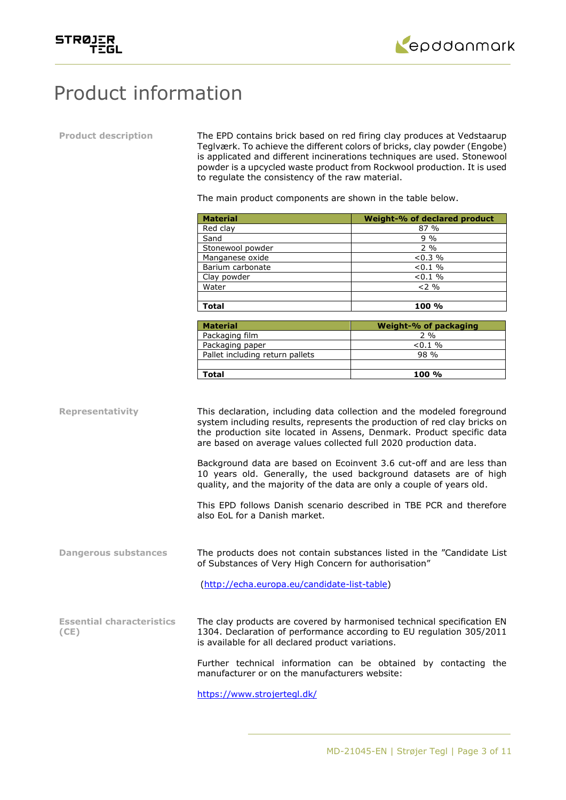



# Product information

**Product description** The EPD contains brick based on red firing clay produces at Vedstaarup Teglværk. To achieve the different colors of bricks, clay powder (Engobe) is applicated and different incinerations techniques are used. Stonewool powder is a upcycled waste product from Rockwool production. It is used to regulate the consistency of the raw material.

The main product components are shown in the table below.

| <b>Material</b>  | Weight-% of declared product |
|------------------|------------------------------|
| Red clay         | 87 %                         |
| Sand             | $9\%$                        |
| Stonewool powder | $2\%$                        |
| Manganese oxide  | $< 0.3 \%$                   |
| Barium carbonate | $< 0.1 \%$                   |
| Clay powder      | $< 0.1 \%$                   |
| Water            | $2\%$                        |
|                  |                              |
| Total            | 100 %                        |

| <b>Material</b>                 | Weight-% of packaging |
|---------------------------------|-----------------------|
| Packaging film                  | $2\%$                 |
| Packaging paper                 | $< 0.1 \%$            |
| Pallet including return pallets | 98 %                  |
|                                 |                       |
| Total                           | 100 %                 |

**Representativity** This declaration, including data collection and the modeled foreground system including results, represents the production of red clay bricks on the production site located in Assens, Denmark. Product specific data are based on average values collected full 2020 production data.

> Background data are based on Ecoinvent 3.6 cut-off and are less than 10 years old. Generally, the used background datasets are of high quality, and the majority of the data are only a couple of years old.

> This EPD follows Danish scenario described in TBE PCR and therefore also EoL for a Danish market.

**Dangerous substances** The products does not contain substances listed in the "Candidate List of Substances of Very High Concern for authorisation"

[\(http://echa.europa.eu/candidate-list-table\)](http://echa.europa.eu/candidate-list-table)

**Essential characteristics (CE)** The clay products are covered by harmonised technical specification EN 1304. Declaration of performance according to EU regulation 305/2011 is available for all declared product variations.

> Further technical information can be obtained by contacting the manufacturer or on the manufacturers website:

<https://www.strojertegl.dk/>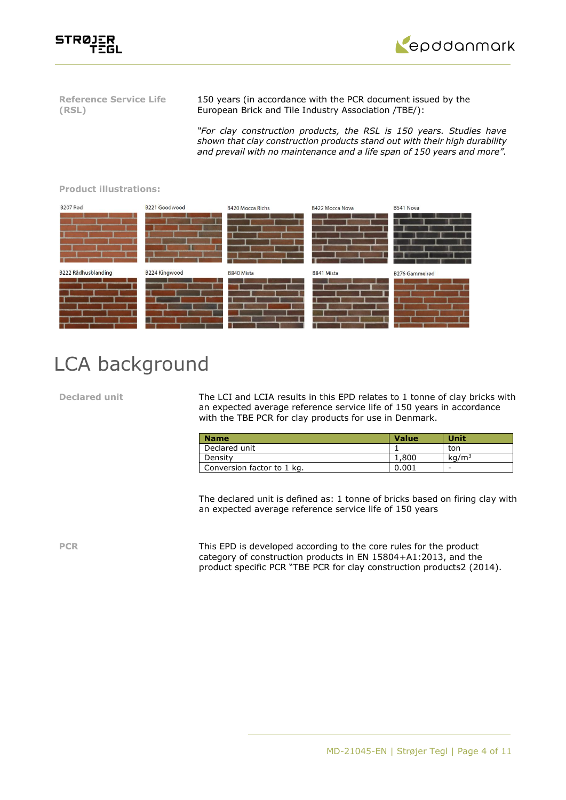



**Reference Service Life (RSL)**

150 years (in accordance with the PCR document issued by the European Brick and Tile Industry Association /TBE/):

*"For clay construction products, the RSL is 150 years. Studies have shown that clay construction products stand out with their high durability and prevail with no maintenance and a life span of 150 years and more".*



### **Product illustrations:**

# LCA background

**Declared unit** The LCI and LCIA results in this EPD relates to 1 tonne of clay bricks with an expected average reference service life of 150 years in accordance with the TBE PCR for clay products for use in Denmark.

| <b>Name</b>                | <b>Value</b> | Unit              |
|----------------------------|--------------|-------------------|
| Declared unit              |              | ton               |
| Density                    | 1,800        | kq/m <sup>3</sup> |
| Conversion factor to 1 kg. | 0.001        | -                 |

The declared unit is defined as: 1 tonne of bricks based on firing clay with an expected average reference service life of 150 years

**PCR** This EPD is developed according to the core rules for the product category of construction products in EN 15804+A1:2013, and the product specific PCR "TBE PCR for clay construction products2 (2014).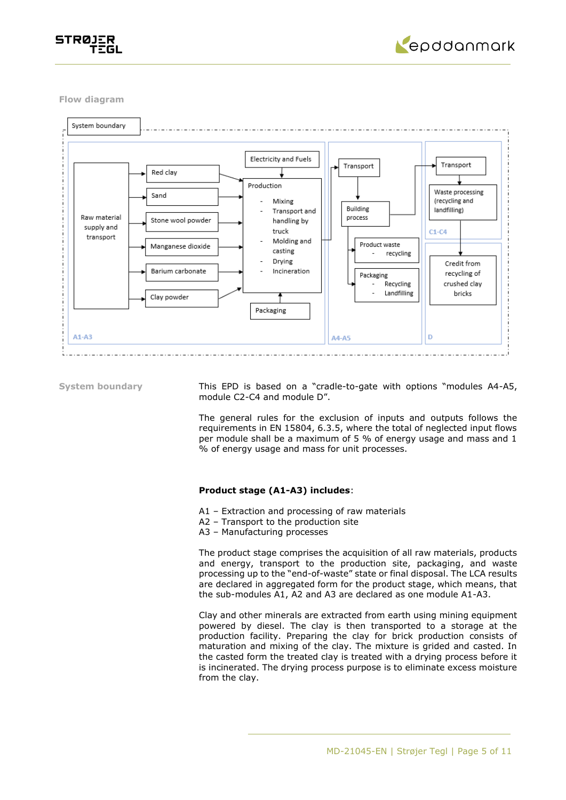



**Flow diagram**



**System boundary** This EPD is based on a "cradle-to-gate with options "modules A4-A5, module C2-C4 and module D".

> The general rules for the exclusion of inputs and outputs follows the requirements in EN 15804, 6.3.5, where the total of neglected input flows per module shall be a maximum of 5 % of energy usage and mass and 1 % of energy usage and mass for unit processes.

### **Product stage (A1-A3) includes**:

- A1 Extraction and processing of raw materials
- A2 Transport to the production site
- A3 Manufacturing processes

The product stage comprises the acquisition of all raw materials, products and energy, transport to the production site, packaging, and waste processing up to the "end-of-waste" state or final disposal. The LCA results are declared in aggregated form for the product stage, which means, that the sub-modules A1, A2 and A3 are declared as one module A1-A3.

Clay and other minerals are extracted from earth using mining equipment powered by diesel. The clay is then transported to a storage at the production facility. Preparing the clay for brick production consists of maturation and mixing of the clay. The mixture is grided and casted. In the casted form the treated clay is treated with a drying process before it is incinerated. The drying process purpose is to eliminate excess moisture from the clay.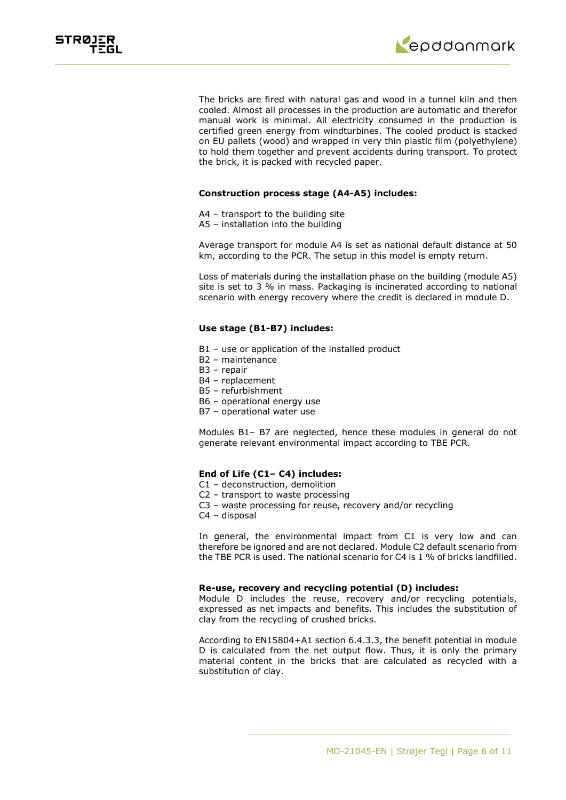

The bricks are fired with natural gas and wood in a tunnel kiln and then cooled. Almost all processes in the production are automatic and therefor manual work is minimal. All electricity consumed in the production is certified green energy from windturbines. The cooled product is stacked on EU pallets (wood) and wrapped in very thin plastic film (polyethylene) to hold them together and prevent accidents during transport. To protect the brick, it is packed with recycled paper.

### **Construction process stage (A4-A5) includes:**

- A4 transport to the building site
- A5 installation into the building

Average transport for module A4 is set as national default distance at 50 km, according to the PCR. The setup in this model is empty return.

Loss of materials during the installation phase on the building (module A5) site is set to 3 % in mass. Packaging is incinerated according to national scenario with energy recovery where the credit is declared in module D.

### **Use stage (B1-B7) includes:**

- B1 use or application of the installed product
- B2 maintenance
- B3 repair
- B4 replacement
- B5 refurbishment
- B6 operational energy use
- B7 operational water use

Modules B1– B7 are neglected, hence these modules in general do not generate relevant environmental impact according to TBE PCR.

### **End of Life (C1– C4) includes:**

- C1 deconstruction, demolition
- C2 transport to waste processing
- C3 waste processing for reuse, recovery and/or recycling
- C4 disposal

In general, the environmental impact from C1 is very low and can therefore be ignored and are not declared. Module C2 default scenario from the TBE PCR is used. The national scenario for C4 is 1 % of bricks landfilled.

### **Re-use, recovery and recycling potential (D) includes:**

Module D includes the reuse, recovery and/or recycling potentials, expressed as net impacts and benefits. This includes the substitution of clay from the recycling of crushed bricks.

According to EN15804+A1 section 6.4.3.3, the benefit potential in module D is calculated from the net output flow. Thus, it is only the primary material content in the bricks that are calculated as recycled with a substitution of clay.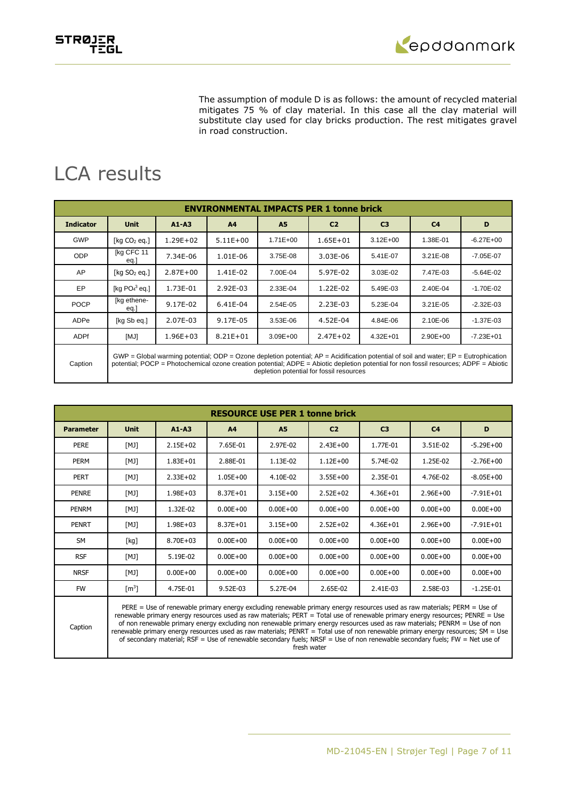



The assumption of module D is as follows: the amount of recycled material mitigates 75 % of clay material. In this case all the clay material will substitute clay used for clay bricks production. The rest mitigates gravel in road construction.

# LCA results

|                  | <b>ENVIRONMENTAL IMPACTS PER 1 tonne brick</b>                                                                                                                                                                                                                                                                                  |              |                |              |                |                |                |               |  |  |
|------------------|---------------------------------------------------------------------------------------------------------------------------------------------------------------------------------------------------------------------------------------------------------------------------------------------------------------------------------|--------------|----------------|--------------|----------------|----------------|----------------|---------------|--|--|
| <b>Indicator</b> | <b>Unit</b>                                                                                                                                                                                                                                                                                                                     | $A1 - A3$    | A <sub>4</sub> | A5           | C <sub>2</sub> | C <sub>3</sub> | C <sub>4</sub> | D             |  |  |
| <b>GWP</b>       | [kg $CO2$ eg.]                                                                                                                                                                                                                                                                                                                  | 1.29E+02     | $5.11E+00$     | $1.71E + 00$ | $1.65E + 01$   | $3.12E + 00$   | 1.38E-01       | $-6.27E + 00$ |  |  |
| <b>ODP</b>       | [kg CFC 11<br>eq.                                                                                                                                                                                                                                                                                                               | 7.34E-06     | 1.01E-06       | 3.75E-08     | 3.03E-06       | 5.41E-07       | $3.21E-08$     | $-7.05E - 07$ |  |  |
| AP               | [ $kg SO2 eq.$ ]                                                                                                                                                                                                                                                                                                                | $2.87E + 00$ | 1.41E-02       | 7.00E-04     | 5.97E-02       | 3.03E-02       | 7.47E-03       | $-5.64E-02$   |  |  |
| EP               | [kg $PO43$ eq.]                                                                                                                                                                                                                                                                                                                 | 1.73E-01     | 2.92E-03       | 2.33E-04     | 1.22E-02       | 5.49E-03       | 2.40E-04       | $-1.70E - 02$ |  |  |
| <b>POCP</b>      | [kg ethene-<br>eq.                                                                                                                                                                                                                                                                                                              | 9.17E-02     | 6.41E-04       | 2.54E-05     | 2.23E-03       | 5.23E-04       | 3.21E-05       | $-2.32E - 03$ |  |  |
| ADPe             | [kg Sb eq.]                                                                                                                                                                                                                                                                                                                     | 2.07E-03     | 9.17E-05       | 3.53E-06     | 4.52E-04       | 4.84E-06       | 2.10E-06       | $-1.37E - 03$ |  |  |
| <b>ADPf</b>      | [MJ]                                                                                                                                                                                                                                                                                                                            | $1.96E + 03$ | $8.21E + 01$   | $3.09E + 00$ | $2.47E + 02$   | $4.32E + 01$   | $2.90E + 00$   | $-7.23E + 01$ |  |  |
| Caption          | $GWP = Global$ warming potential; ODP = Ozone depletion potential; $AP =$ Acidification potential of soil and water; $EP =$ Eutrophication<br>potential; POCP = Photochemical ozone creation potential; ADPE = Abiotic depletion potential for non fossil resources; ADPF = Abiotic<br>depletion potential for fossil resources |              |                |              |                |                |                |               |  |  |

|                  | <b>RESOURCE USE PER 1 tonne brick</b>                                                                                                                                                                                                                                                                                                                                                                                                                                                                                      |              |                |              |                |                |                |               |  |
|------------------|----------------------------------------------------------------------------------------------------------------------------------------------------------------------------------------------------------------------------------------------------------------------------------------------------------------------------------------------------------------------------------------------------------------------------------------------------------------------------------------------------------------------------|--------------|----------------|--------------|----------------|----------------|----------------|---------------|--|
| <b>Parameter</b> | <b>Unit</b>                                                                                                                                                                                                                                                                                                                                                                                                                                                                                                                | $A1 - A3$    | A <sub>4</sub> | <b>A5</b>    | C <sub>2</sub> | C <sub>3</sub> | C <sub>4</sub> | D             |  |
| <b>PERE</b>      | [MJ]                                                                                                                                                                                                                                                                                                                                                                                                                                                                                                                       | $2.15E + 02$ | 7.65E-01       | 2.97E-02     | $2.43E + 00$   | 1.77E-01       | 3.51E-02       | $-5.29E+00$   |  |
| <b>PERM</b>      | [MJ]                                                                                                                                                                                                                                                                                                                                                                                                                                                                                                                       | $1.83E + 01$ | 2.88E-01       | 1.13E-02     | $1.12E + 00$   | 5.74E-02       | 1.25E-02       | $-2.76E + 00$ |  |
| <b>PERT</b>      | [MJ]                                                                                                                                                                                                                                                                                                                                                                                                                                                                                                                       | $2.33E+02$   | $1.05E + 00$   | 4.10E-02     | $3.55E + 00$   | 2.35E-01       | 4.76E-02       | $-8.05E + 00$ |  |
| <b>PENRE</b>     | [MJ]                                                                                                                                                                                                                                                                                                                                                                                                                                                                                                                       | $1.98E + 03$ | $8.37E + 01$   | $3.15E + 00$ | $2.52E+02$     | $4.36E + 01$   | $2.96E + 00$   | $-7.91E + 01$ |  |
| <b>PENRM</b>     | [MJ]                                                                                                                                                                                                                                                                                                                                                                                                                                                                                                                       | 1.32E-02     | $0.00E + 00$   | $0.00E + 00$ | $0.00E + 00$   | $0.00E + 00$   | $0.00E + 00$   | $0.00E + 00$  |  |
| <b>PENRT</b>     | [MJ]                                                                                                                                                                                                                                                                                                                                                                                                                                                                                                                       | $1.98E + 03$ | $8.37E + 01$   | $3.15E + 00$ | $2.52E + 02$   | $4.36E + 01$   | $2.96E + 00$   | $-7.91E + 01$ |  |
| SM               | [kg]                                                                                                                                                                                                                                                                                                                                                                                                                                                                                                                       | 8.70E+03     | $0.00E + 00$   | $0.00E + 00$ | $0.00E + 00$   | $0.00E + 00$   | $0.00E + 00$   | $0.00E + 00$  |  |
| <b>RSF</b>       | [MJ]                                                                                                                                                                                                                                                                                                                                                                                                                                                                                                                       | 5.19E-02     | $0.00E + 00$   | $0.00E + 00$ | $0.00E + 00$   | $0.00E + 00$   | $0.00E + 00$   | $0.00E + 00$  |  |
| <b>NRSF</b>      | [MJ]                                                                                                                                                                                                                                                                                                                                                                                                                                                                                                                       | $0.00E + 00$ | $0.00E + 00$   | $0.00E + 00$ | $0.00E + 00$   | $0.00E + 00$   | $0.00E + 00$   | $0.00E + 00$  |  |
| <b>FW</b>        | $\lceil m^3 \rceil$                                                                                                                                                                                                                                                                                                                                                                                                                                                                                                        | 4.75E-01     | 9.52E-03       | 5.27E-04     | 2.65E-02       | 2.41E-03       | 2.58E-03       | $-1.25E-01$   |  |
| Caption          | PERE = Use of renewable primary energy excluding renewable primary energy resources used as raw materials; PERM = Use of<br>renewable primary energy resources used as raw materials; PERT = Total use of renewable primary energy resources; PENRE = Use<br>of non renewable primary energy excluding non renewable primary energy resources used as raw materials; PENRM = Use of non<br>enamelia miniano anamo interimento inal ne inii materiale. DENDT - Tatal ina af nan inaniinale miniano canonicatamente CM - Han |              |                |              |                |                |                |               |  |

renewable primary energy resources used as raw materials; PENRT = Total use of non renewable primary energy resources; SM = Use of secondary material; RSF = Use of renewable secondary fuels; NRSF = Use of non renewable secondary fuels; FW = Net use of fresh water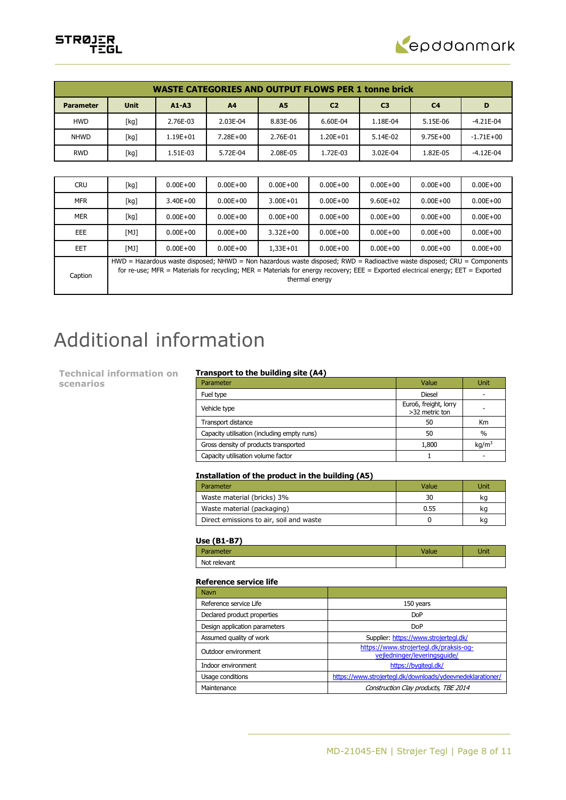



|                  | <b>WASTE CATEGORIES AND OUTPUT FLOWS PER 1 tonne brick</b>                                                                                                                                                                                                                      |              |                |              |                |                |                |              |  |
|------------------|---------------------------------------------------------------------------------------------------------------------------------------------------------------------------------------------------------------------------------------------------------------------------------|--------------|----------------|--------------|----------------|----------------|----------------|--------------|--|
| <b>Parameter</b> | <b>Unit</b>                                                                                                                                                                                                                                                                     | $A1 - A3$    | A <sub>4</sub> | <b>A5</b>    | C <sub>2</sub> | C <sub>3</sub> | C <sub>4</sub> | D            |  |
| <b>HWD</b>       | [kg]                                                                                                                                                                                                                                                                            | 2.76E-03     | 2.03E-04       | 8.83E-06     | 6.60E-04       | 1.18E-04       | 5.15E-06       | $-4.21E-04$  |  |
| <b>NHWD</b>      | [kg]                                                                                                                                                                                                                                                                            | $1.19E + 01$ | 7.28E+00       | 2.76E-01     | $1.20E + 01$   | 5.14E-02       | $9.75E + 00$   | $-1.71E+00$  |  |
| <b>RWD</b>       | [kg]                                                                                                                                                                                                                                                                            | 1.51E-03     | 5.72E-04       | 2.08E-05     | 1.72E-03       | 3.02E-04       | 1.82E-05       | $-4.12E-04$  |  |
|                  |                                                                                                                                                                                                                                                                                 |              |                |              |                |                |                |              |  |
| <b>CRU</b>       | [kg]                                                                                                                                                                                                                                                                            | $0.00E + 00$ | $0.00E + 00$   | $0.00E + 00$ | $0.00E + 00$   | $0.00E + 00$   | $0.00E + 00$   | $0.00E + 00$ |  |
| <b>MFR</b>       | [kg]                                                                                                                                                                                                                                                                            | $3.40E + 00$ | $0.00E + 00$   | $3.00E + 01$ | $0.00E + 00$   | $9.60E + 02$   | $0.00E + 00$   | $0.00E + 00$ |  |
| <b>MER</b>       | [kg]                                                                                                                                                                                                                                                                            | $0.00E + 00$ | $0.00E + 00$   | $0.00E + 00$ | $0.00E + 00$   | $0.00E + 00$   | $0.00E + 00$   | $0.00E + 00$ |  |
| EEE              | [MJ]                                                                                                                                                                                                                                                                            | $0.00E + 00$ | $0.00E + 00$   | $3.32E + 00$ | $0.00E + 00$   | $0.00E + 00$   | $0.00E + 00$   | $0.00E + 00$ |  |
| <b>EET</b>       | [MJ]                                                                                                                                                                                                                                                                            | $0.00E + 00$ | $0.00E + 00$   | $1,33E+01$   | $0.00E + 00$   | $0.00E + 00$   | $0.00E + 00$   | $0.00E + 00$ |  |
| Caption          | $HWD =$ Hazardous waste disposed; NHWD = Non hazardous waste disposed; RWD = Radioactive waste disposed; CRU = Components<br>for re-use; MFR = Materials for recycling; MER = Materials for energy recovery; EEE = Exported electrical energy; EET = Exported<br>thermal energy |              |                |              |                |                |                |              |  |

# Additional information

**Technical information on scenarios**

### **Transport to the building site (A4)**

| Parameter                                   | Value                                   | Unit              |
|---------------------------------------------|-----------------------------------------|-------------------|
| Fuel type                                   | <b>Diesel</b>                           |                   |
| Vehicle type                                | Euro6, freight, lorry<br>>32 metric ton |                   |
| Transport distance                          | 50                                      | Km                |
| Capacity utilisation (including empty runs) | 50                                      | $\frac{0}{0}$     |
| Gross density of products transported       | 1,800                                   | kq/m <sup>3</sup> |
| Capacity utilisation volume factor          |                                         |                   |

## **Installation of the product in the building (A5)**

| Parameter                               | Value | Unit |
|-----------------------------------------|-------|------|
| Waste material (bricks) 3%              | 30    | κa   |
| Waste material (packaging)              | 0.55  | ĸq   |
| Direct emissions to air, soil and waste |       | κa   |

### **Use (B1-B7)**

| --- -        |       |      |
|--------------|-------|------|
| Parameter    | Value | Unit |
| Not relevant |       |      |

### **Reference service life**

| <b>Navn</b>                   |                                                                        |
|-------------------------------|------------------------------------------------------------------------|
| Reference service Life        | 150 years                                                              |
| Declared product properties   | <b>DoP</b>                                                             |
| Design application parameters | Do <sub>P</sub>                                                        |
| Assumed quality of work       | Supplier: https://www.strojertegl.dk/                                  |
| Outdoor environment           | https://www.strojertegl.dk/praksis-og-<br>vejledninger/leveringsquide/ |
| Indoor environment            | https://bygitegl.dk/                                                   |
| Usage conditions              | https://www.strojertegl.dk/downloads/ydeevnedeklarationer/             |
| Maintenance                   | Construction Clay products, TBE 2014                                   |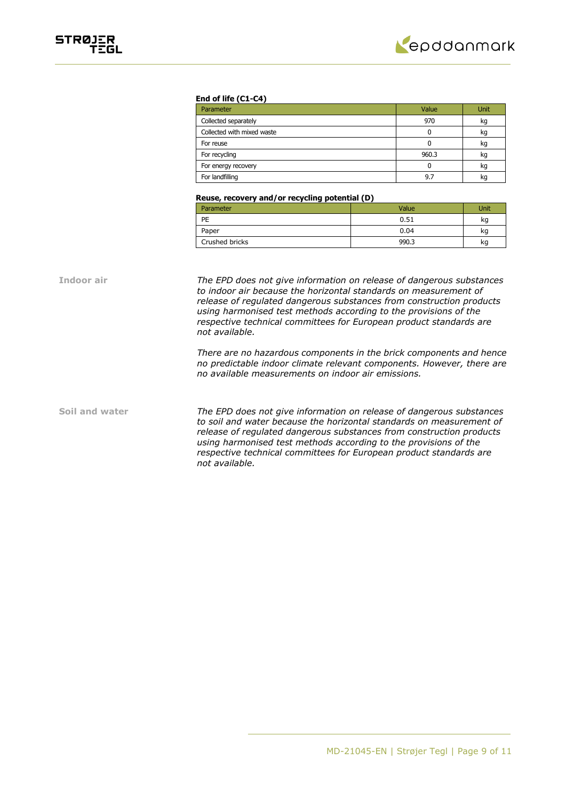

### **End of life (C1-C4)**

| Parameter                  | Value | Unit |
|----------------------------|-------|------|
| Collected separately       | 970   | kg   |
| Collected with mixed waste | 0     | kg   |
| For reuse                  | 0     | kg   |
| For recycling              | 960.3 | kg   |
| For energy recovery        | 0     | kg   |
| For landfilling            | 9.7   | kq   |

### **Reuse, recovery and/or recycling potential (D)**

| Parameter      | Value | Unit |
|----------------|-------|------|
| PE             | 0.51  | kg   |
| Paper          | 0.04  | kg   |
| Crushed bricks | 990.3 | kg   |

**Indoor air** *The EPD does not give information on release of dangerous substances to indoor air because the horizontal standards on measurement of release of regulated dangerous substances from construction products using harmonised test methods according to the provisions of the respective technical committees for European product standards are not available.*

> *There are no hazardous components in the brick components and hence no predictable indoor climate relevant components. However, there are no available measurements on indoor air emissions.*

**Soil and water** *The EPD does not give information on release of dangerous substances to soil and water because the horizontal standards on measurement of release of regulated dangerous substances from construction products using harmonised test methods according to the provisions of the respective technical committees for European product standards are not available.*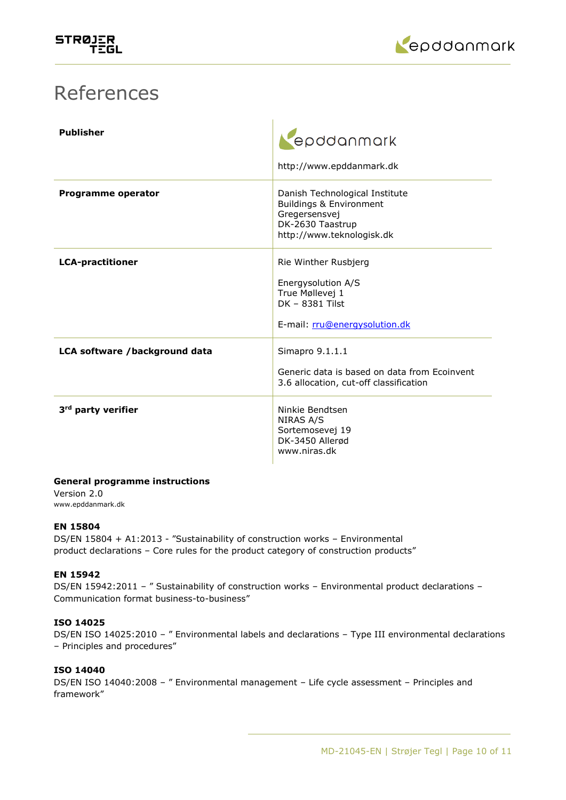

# References

| <b>Publisher</b>               | epddanmark<br>http://www.epddanmark.dk                                                                                                 |
|--------------------------------|----------------------------------------------------------------------------------------------------------------------------------------|
| Programme operator             | Danish Technological Institute<br><b>Buildings &amp; Environment</b><br>Gregersensvej<br>DK-2630 Taastrup<br>http://www.teknologisk.dk |
| <b>LCA-practitioner</b>        | Rie Winther Rusbjerg<br>Energysolution A/S<br>True Møllevej 1<br>DK - 8381 Tilst<br>E-mail: rru@energysolution.dk                      |
| LCA software /background data  | Simapro 9.1.1.1<br>Generic data is based on data from Ecoinvent<br>3.6 allocation, cut-off classification                              |
| 3 <sup>rd</sup> party verifier | Ninkie Bendtsen<br>NIRAS A/S<br>Sortemosevej 19<br>DK-3450 Allerød<br>www.niras.dk                                                     |

# **General programme instructions**

Version 2.0 www.epddanmark.dk

# **EN 15804**

DS/EN 15804 + A1:2013 - "Sustainability of construction works – Environmental product declarations – Core rules for the product category of construction products"

# **EN 15942**

DS/EN 15942:2011 - " Sustainability of construction works - Environmental product declarations -Communication format business-to-business"

# **ISO 14025**

DS/EN ISO 14025:2010 – " Environmental labels and declarations – Type III environmental declarations – Principles and procedures"

# **ISO 14040**

DS/EN ISO 14040:2008 – " Environmental management – Life cycle assessment – Principles and framework"